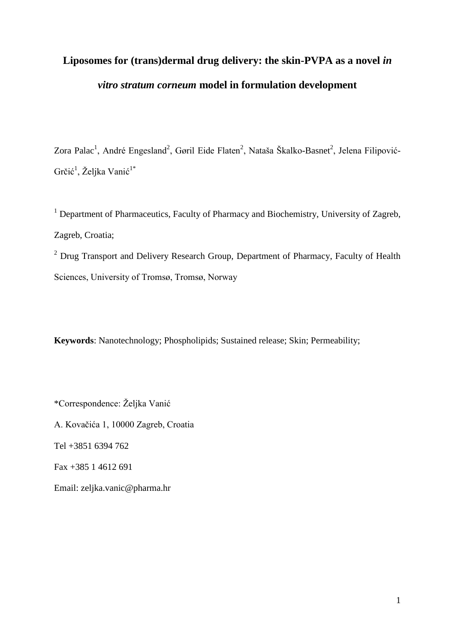# Liposomes for (trans)dermal drug delivery: the skin-PVPA as a novel *in vitro stratum corneum* **model in formulation development**

Zora Palac<sup>1</sup>, André Engesland<sup>2</sup>, Gøril Eide Flaten<sup>2</sup>, Nataša Škalko-Basnet<sup>2</sup>, Jelena Filipović-Grčić<sup>1</sup>, Željka Vanić<sup>1\*</sup>

<sup>1</sup> Department of Pharmaceutics, Faculty of Pharmacy and Biochemistry, University of Zagreb, Zagreb, Croatia;

<sup>2</sup> Drug Transport and Delivery Research Group, Department of Pharmacy, Faculty of Health Sciences, University of Tromsø, Tromsø, Norway

**Keywords**: Nanotechnology; Phospholipids; Sustained release; Skin; Permeability;

\*Correspondence: Željka Vanić A. Kovačića 1, 10000 Zagreb, Croatia Tel +3851 6394 762 Fax +385 1 4612 691 Email: zeljka.vanic@pharma.hr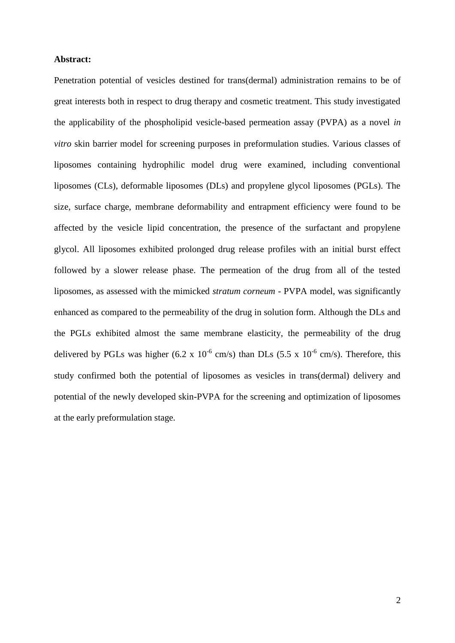## **Abstract:**

Penetration potential of vesicles destined for trans(dermal) administration remains to be of great interests both in respect to drug therapy and cosmetic treatment. This study investigated the applicability of the phospholipid vesicle-based permeation assay (PVPA) as a novel *in vitro* skin barrier model for screening purposes in preformulation studies. Various classes of liposomes containing hydrophilic model drug were examined, including conventional liposomes (CLs), deformable liposomes (DLs) and propylene glycol liposomes (PGLs). The size, surface charge, membrane deformability and entrapment efficiency were found to be affected by the vesicle lipid concentration, the presence of the surfactant and propylene glycol. All liposomes exhibited prolonged drug release profiles with an initial burst effect followed by a slower release phase. The permeation of the drug from all of the tested liposomes, as assessed with the mimicked *stratum corneum* - PVPA model, was significantly enhanced as compared to the permeability of the drug in solution form. Although the DLs and the PGLs exhibited almost the same membrane elasticity, the permeability of the drug delivered by PGLs was higher (6.2 x  $10^{-6}$  cm/s) than DLs (5.5 x  $10^{-6}$  cm/s). Therefore, this study confirmed both the potential of liposomes as vesicles in trans(dermal) delivery and potential of the newly developed skin-PVPA for the screening and optimization of liposomes at the early preformulation stage.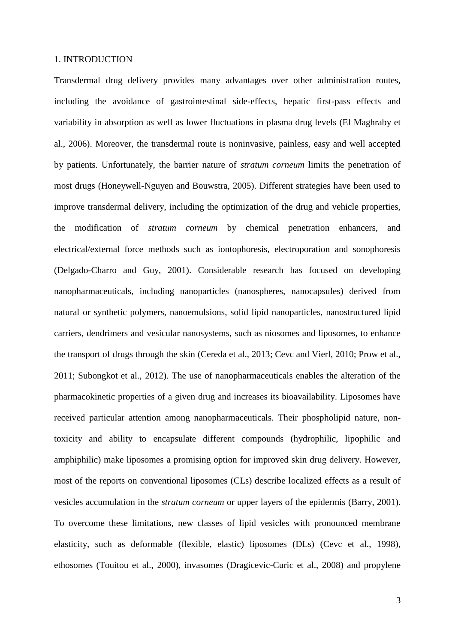# 1. INTRODUCTION

Transdermal drug delivery provides many advantages over other administration routes, including the avoidance of gastrointestinal side-effects, hepatic first-pass effects and variability in absorption as well as lower fluctuations in plasma drug levels (El Maghraby et al., 2006). Moreover, the transdermal route is noninvasive, painless, easy and well accepted by patients. Unfortunately, the barrier nature of *stratum corneum* limits the penetration of most drugs (Honeywell-Nguyen and Bouwstra, 2005). Different strategies have been used to improve transdermal delivery, including the optimization of the drug and vehicle properties, the modification of *stratum corneum* by chemical penetration enhancers, and electrical/external force methods such as iontophoresis, electroporation and sonophoresis (Delgado-Charro and Guy, 2001). Considerable research has focused on developing nanopharmaceuticals, including nanoparticles (nanospheres, nanocapsules) derived from natural or synthetic polymers, nanoemulsions, solid lipid nanoparticles, nanostructured lipid carriers, dendrimers and vesicular nanosystems, such as niosomes and liposomes, to enhance the transport of drugs through the skin (Cereda et al., 2013; Cevc and Vierl, 2010; Prow et al., 2011; Subongkot et al., 2012). The use of nanopharmaceuticals enables the alteration of the pharmacokinetic properties of a given drug and increases its bioavailability. Liposomes have received particular attention among nanopharmaceuticals. Their phospholipid nature, nontoxicity and ability to encapsulate different compounds (hydrophilic, lipophilic and amphiphilic) make liposomes a promising option for improved skin drug delivery. However, most of the reports on conventional liposomes (CLs) describe localized effects as a result of vesicles accumulation in the *stratum corneum* or upper layers of the epidermis (Barry, 2001). To overcome these limitations, new classes of lipid vesicles with pronounced membrane elasticity, such as deformable (flexible, elastic) liposomes (DLs) (Cevc et al., 1998), ethosomes (Touitou et al., 2000), invasomes (Dragicevic-Curic et al., 2008) and propylene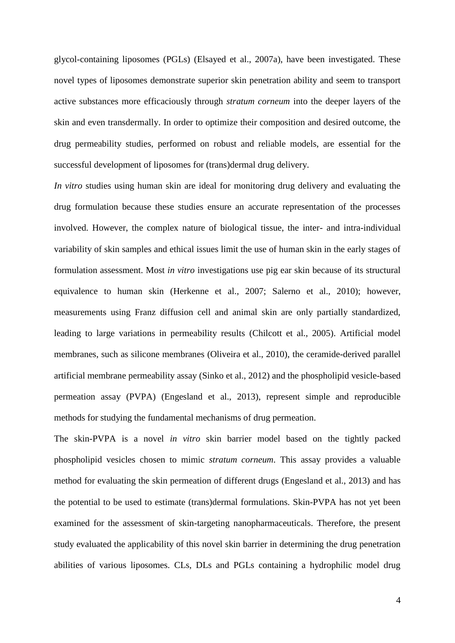glycol-containing liposomes (PGLs) (Elsayed et al., 2007a), have been investigated. These novel types of liposomes demonstrate superior skin penetration ability and seem to transport active substances more efficaciously through *stratum corneum* into the deeper layers of the skin and even transdermally. In order to optimize their composition and desired outcome, the drug permeability studies, performed on robust and reliable models, are essential for the successful development of liposomes for (trans)dermal drug delivery.

*In vitro* studies using human skin are ideal for monitoring drug delivery and evaluating the drug formulation because these studies ensure an accurate representation of the processes involved. However, the complex nature of biological tissue, the inter- and intra-individual variability of skin samples and ethical issues limit the use of human skin in the early stages of formulation assessment. Most *in vitro* investigations use pig ear skin because of its structural equivalence to human skin (Herkenne et al., 2007; Salerno et al., 2010); however, measurements using Franz diffusion cell and animal skin are only partially standardized, leading to large variations in permeability results (Chilcott et al., 2005). Artificial model membranes, such as silicone membranes (Oliveira et al., 2010), the ceramide-derived parallel artificial membrane permeability assay (Sinko et al., 2012) and the phospholipid vesicle-based permeation assay (PVPA) (Engesland et al., 2013), represent simple and reproducible methods for studying the fundamental mechanisms of drug permeation.

The skin-PVPA is a novel *in vitro* skin barrier model based on the tightly packed phospholipid vesicles chosen to mimic *stratum corneum*. This assay provides a valuable method for evaluating the skin permeation of different drugs (Engesland et al., 2013) and has the potential to be used to estimate (trans)dermal formulations. Skin-PVPA has not yet been examined for the assessment of skin-targeting nanopharmaceuticals. Therefore, the present study evaluated the applicability of this novel skin barrier in determining the drug penetration abilities of various liposomes. CLs, DLs and PGLs containing a hydrophilic model drug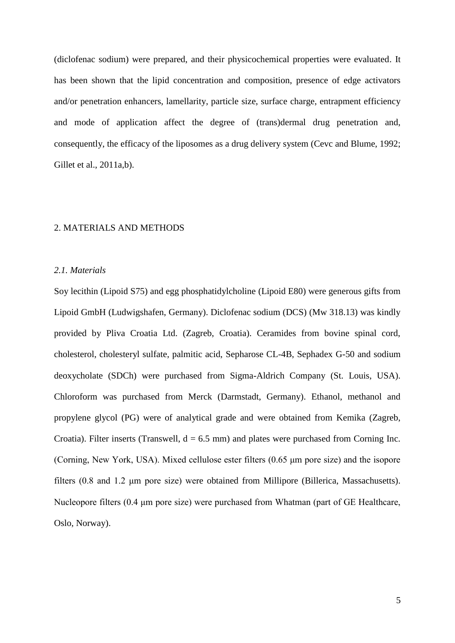(diclofenac sodium) were prepared, and their physicochemical properties were evaluated. It has been shown that the lipid concentration and composition, presence of edge activators and/or penetration enhancers, lamellarity, particle size, surface charge, entrapment efficiency and mode of application affect the degree of (trans)dermal drug penetration and, consequently, the efficacy of the liposomes as a drug delivery system (Cevc and Blume, 1992; Gillet et al., 2011a,b).

## 2. MATERIALS AND METHODS

#### *2.1. Materials*

Soy lecithin (Lipoid S75) and egg phosphatidylcholine (Lipoid E80) were generous gifts from Lipoid GmbH (Ludwigshafen, Germany). Diclofenac sodium (DCS) (Mw 318.13) was kindly provided by Pliva Croatia Ltd. (Zagreb, Croatia). Ceramides from bovine spinal cord, cholesterol, cholesteryl sulfate, palmitic acid, Sepharose CL-4B, Sephadex G-50 and sodium deoxycholate (SDCh) were purchased from Sigma-Aldrich Company (St. Louis, USA). Chloroform was purchased from Merck (Darmstadt, Germany). Ethanol, methanol and propylene glycol (PG) were of analytical grade and were obtained from Kemika (Zagreb, Croatia). Filter inserts (Transwell,  $d = 6.5$  mm) and plates were purchased from Corning Inc. (Corning, New York, USA). Mixed cellulose ester filters (0.65 μm pore size) and the isopore filters (0.8 and 1.2 μm pore size) were obtained from Millipore (Billerica, Massachusetts). Nucleopore filters (0.4 μm pore size) were purchased from Whatman (part of GE Healthcare, Oslo, Norway).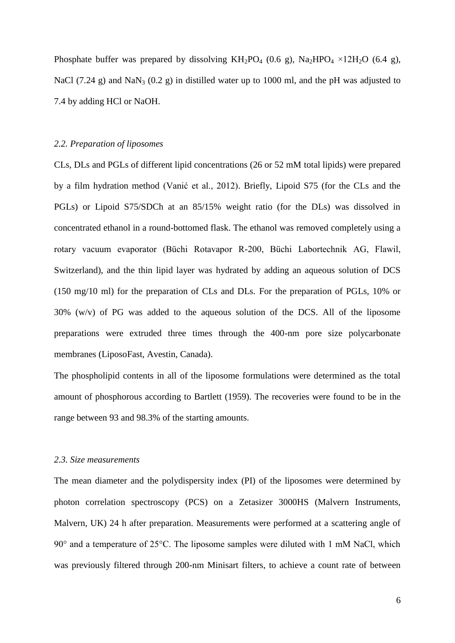Phosphate buffer was prepared by dissolving  $KH_2PO_4$  (0.6 g),  $Na_2HPO_4 \times 12H_2O$  (6.4 g), NaCl (7.24 g) and NaN<sub>3</sub> (0.2 g) in distilled water up to 1000 ml, and the pH was adjusted to 7.4 by adding HCl or NaOH.

#### *2.2. Preparation of liposomes*

CLs, DLs and PGLs of different lipid concentrations (26 or 52 mM total lipids) were prepared by a film hydration method (Vanić et al., 2012). Briefly, Lipoid S75 (for the CLs and the PGLs) or Lipoid S75/SDCh at an 85/15% weight ratio (for the DLs) was dissolved in concentrated ethanol in a round-bottomed flask. The ethanol was removed completely using a rotary vacuum evaporator (Büchi Rotavapor R-200, Büchi Labortechnik AG, Flawil, Switzerland), and the thin lipid layer was hydrated by adding an aqueous solution of DCS (150 mg/10 ml) for the preparation of CLs and DLs. For the preparation of PGLs, 10% or 30% (w/v) of PG was added to the aqueous solution of the DCS. All of the liposome preparations were extruded three times through the 400-nm pore size polycarbonate membranes (LiposoFast, Avestin, Canada).

The phospholipid contents in all of the liposome formulations were determined as the total amount of phosphorous according to Bartlett (1959). The recoveries were found to be in the range between 93 and 98.3% of the starting amounts.

## *2.3. Size measurements*

The mean diameter and the polydispersity index (PI) of the liposomes were determined by photon correlation spectroscopy (PCS) on a Zetasizer 3000HS (Malvern Instruments, Malvern, UK) 24 h after preparation. Measurements were performed at a scattering angle of 90° and a temperature of 25°C. The liposome samples were diluted with 1 mM NaCl, which was previously filtered through 200-nm Minisart filters, to achieve a count rate of between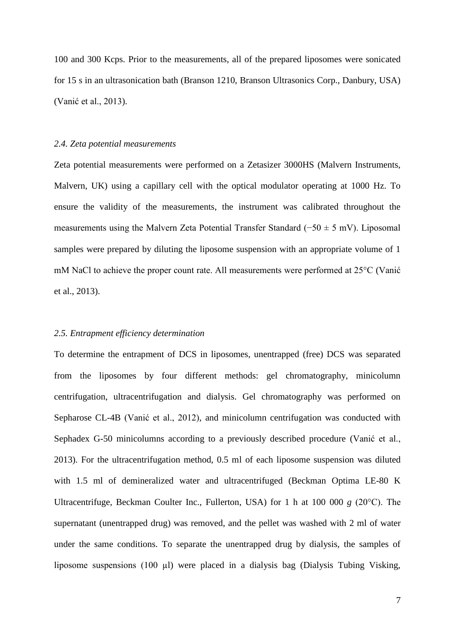100 and 300 Kcps. Prior to the measurements, all of the prepared liposomes were sonicated for 15 s in an ultrasonication bath (Branson 1210, Branson Ultrasonics Corp., Danbury, USA) (Vanić et al., 2013).

#### *2.4. Zeta potential measurements*

Zeta potential measurements were performed on a Zetasizer 3000HS (Malvern Instruments, Malvern, UK) using a capillary cell with the optical modulator operating at 1000 Hz. To ensure the validity of the measurements, the instrument was calibrated throughout the measurements using the Malvern Zeta Potential Transfer Standard (−50 ± 5 mV). Liposomal samples were prepared by diluting the liposome suspension with an appropriate volume of 1 mM NaCl to achieve the proper count rate. All measurements were performed at 25°C (Vanić et al., 2013).

## *2.5. Entrapment efficiency determination*

To determine the entrapment of DCS in liposomes, unentrapped (free) DCS was separated from the liposomes by four different methods: gel chromatography, minicolumn centrifugation, ultracentrifugation and dialysis. Gel chromatography was performed on Sepharose CL-4B (Vanić et al., 2012), and minicolumn centrifugation was conducted with Sephadex G-50 minicolumns according to a previously described procedure (Vanić et al., 2013). For the ultracentrifugation method, 0.5 ml of each liposome suspension was diluted with 1.5 ml of demineralized water and ultracentrifuged (Beckman Optima LE-80 K Ultracentrifuge, Beckman Coulter Inc., Fullerton, USA) for 1 h at 100 000 *g* (20°C). The supernatant (unentrapped drug) was removed, and the pellet was washed with 2 ml of water under the same conditions. To separate the unentrapped drug by dialysis, the samples of liposome suspensions (100 µl) were placed in a dialysis bag (Dialysis Tubing Visking,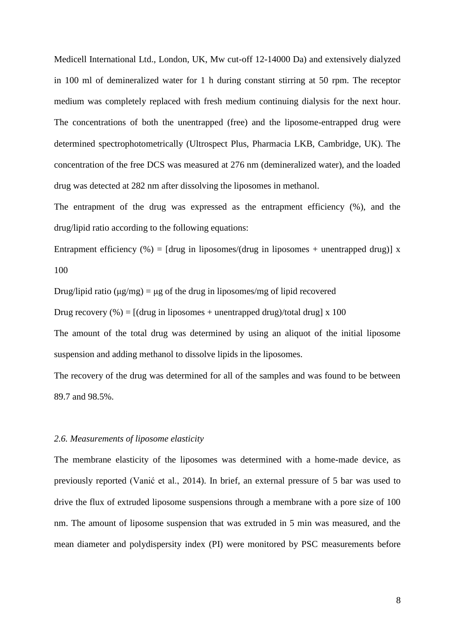Medicell International Ltd., London, UK, Mw cut-off 12-14000 Da) and extensively dialyzed in 100 ml of demineralized water for 1 h during constant stirring at 50 rpm. The receptor medium was completely replaced with fresh medium continuing dialysis for the next hour. The concentrations of both the unentrapped (free) and the liposome-entrapped drug were determined spectrophotometrically (Ultrospect Plus, Pharmacia LKB, Cambridge, UK). The concentration of the free DCS was measured at 276 nm (demineralized water), and the loaded drug was detected at 282 nm after dissolving the liposomes in methanol.

The entrapment of the drug was expressed as the entrapment efficiency (%), and the drug/lipid ratio according to the following equations:

Entrapment efficiency (%) = [drug in liposomes/(drug in liposomes + unentrapped drug)] x 100

Drug/lipid ratio ( $\mu$ g/mg) =  $\mu$ g of the drug in liposomes/mg of lipid recovered

Drug recovery (%) =  $\left[$  (drug in liposomes + unentrapped drug)/total drug] x 100

The amount of the total drug was determined by using an aliquot of the initial liposome suspension and adding methanol to dissolve lipids in the liposomes.

The recovery of the drug was determined for all of the samples and was found to be between 89.7 and 98.5%.

# *2.6. Measurements of liposome elasticity*

The membrane elasticity of the liposomes was determined with a home-made device, as previously reported (Vanić et al., 2014). In brief, an external pressure of 5 bar was used to drive the flux of extruded liposome suspensions through a membrane with a pore size of 100 nm. The amount of liposome suspension that was extruded in 5 min was measured, and the mean diameter and polydispersity index (PI) were monitored by PSC measurements before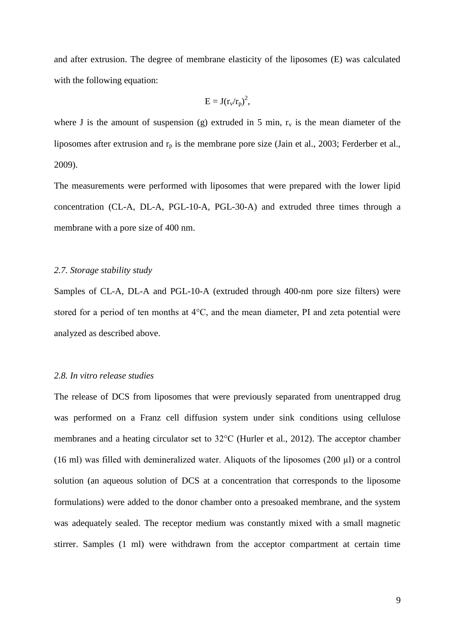and after extrusion. The degree of membrane elasticity of the liposomes (E) was calculated with the following equation:

$$
E=J(r_v/r_p)^2,
$$

where J is the amount of suspension (g) extruded in 5 min,  $r_v$  is the mean diameter of the liposomes after extrusion and  $r_p$  is the membrane pore size (Jain et al., 2003; Ferderber et al., 2009).

The measurements were performed with liposomes that were prepared with the lower lipid concentration (CL-A, DL-A, PGL-10-A, PGL-30-A) and extruded three times through a membrane with a pore size of 400 nm.

#### *2.7. Storage stability study*

Samples of CL-A, DL-A and PGL-10-A (extruded through 400-nm pore size filters) were stored for a period of ten months at 4°C, and the mean diameter, PI and zeta potential were analyzed as described above.

## *2.8. In vitro release studies*

The release of DCS from liposomes that were previously separated from unentrapped drug was performed on a Franz cell diffusion system under sink conditions using cellulose membranes and a heating circulator set to 32°C (Hurler et al., 2012). The acceptor chamber (16 ml) was filled with demineralized water. Aliquots of the liposomes (200 µl) or a control solution (an aqueous solution of DCS at a concentration that corresponds to the liposome formulations) were added to the donor chamber onto a presoaked membrane, and the system was adequately sealed. The receptor medium was constantly mixed with a small magnetic stirrer. Samples (1 ml) were withdrawn from the acceptor compartment at certain time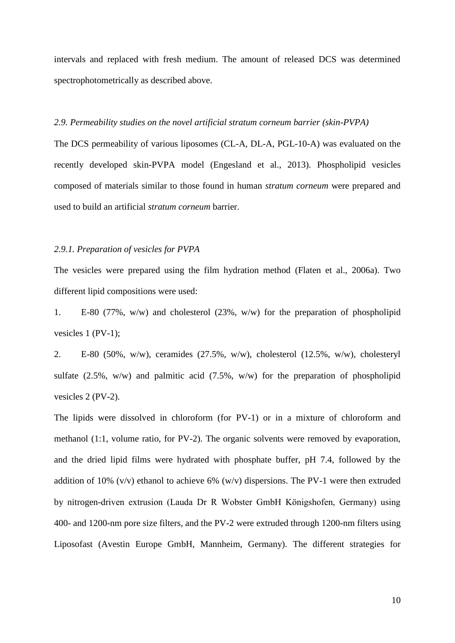intervals and replaced with fresh medium. The amount of released DCS was determined spectrophotometrically as described above.

#### *2.9. Permeability studies on the novel artificial stratum corneum barrier (skin-PVPA)*

The DCS permeability of various liposomes (CL-A, DL-A, PGL-10-A) was evaluated on the recently developed skin-PVPA model (Engesland et al., 2013). Phospholipid vesicles composed of materials similar to those found in human *stratum corneum* were prepared and used to build an artificial *stratum corneum* barrier.

#### *2.9.1. Preparation of vesicles for PVPA*

The vesicles were prepared using the film hydration method (Flaten et al., 2006a). Two different lipid compositions were used:

1. E-80 (77%, w/w) and cholesterol (23%, w/w) for the preparation of phospholipid vesicles 1 (PV-1);

2. E-80 (50%, w/w), ceramides (27.5%, w/w), cholesterol (12.5%, w/w), cholesteryl sulfate (2.5%, w/w) and palmitic acid (7.5%, w/w) for the preparation of phospholipid vesicles 2 (PV-2).

The lipids were dissolved in chloroform (for PV-1) or in a mixture of chloroform and methanol (1:1, volume ratio, for PV-2). The organic solvents were removed by evaporation, and the dried lipid films were hydrated with phosphate buffer, pH 7.4, followed by the addition of 10% (v/v) ethanol to achieve 6% (w/v) dispersions. The PV-1 were then extruded by nitrogen-driven extrusion (Lauda Dr R Wobster GmbH Königshofen, Germany) using 400- and 1200-nm pore size filters, and the PV-2 were extruded through 1200-nm filters using Liposofast (Avestin Europe GmbH, Mannheim, Germany). The different strategies for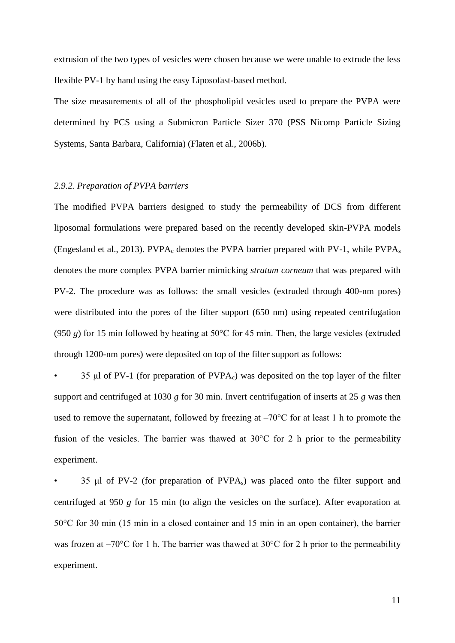extrusion of the two types of vesicles were chosen because we were unable to extrude the less flexible PV-1 by hand using the easy Liposofast-based method.

The size measurements of all of the phospholipid vesicles used to prepare the PVPA were determined by PCS using a Submicron Particle Sizer 370 (PSS Nicomp Particle Sizing Systems, Santa Barbara, California) (Flaten et al., 2006b).

## *2.9.2. Preparation of PVPA barriers*

The modified PVPA barriers designed to study the permeability of DCS from different liposomal formulations were prepared based on the recently developed skin-PVPA models (Engesland et al., 2013). PVPA<sub>c</sub> denotes the PVPA barrier prepared with PV-1, while PVPA<sub>s</sub> denotes the more complex PVPA barrier mimicking *stratum corneum* that was prepared with PV-2. The procedure was as follows: the small vesicles (extruded through 400-nm pores) were distributed into the pores of the filter support (650 nm) using repeated centrifugation (950 *g*) for 15 min followed by heating at 50°C for 45 min. Then, the large vesicles (extruded through 1200-nm pores) were deposited on top of the filter support as follows:

35 μl of PV-1 (for preparation of  $PVPA_c$ ) was deposited on the top layer of the filter support and centrifuged at 1030 *g* for 30 min. Invert centrifugation of inserts at 25 *g* was then used to remove the supernatant, followed by freezing at  $-70^{\circ}$ C for at least 1 h to promote the fusion of the vesicles. The barrier was thawed at 30°C for 2 h prior to the permeability experiment.

• 35 μl of PV-2 (for preparation of PVPAs) was placed onto the filter support and centrifuged at 950 *g* for 15 min (to align the vesicles on the surface). After evaporation at 50°C for 30 min (15 min in a closed container and 15 min in an open container), the barrier was frozen at  $-70^{\circ}$ C for 1 h. The barrier was thawed at 30 $^{\circ}$ C for 2 h prior to the permeability experiment.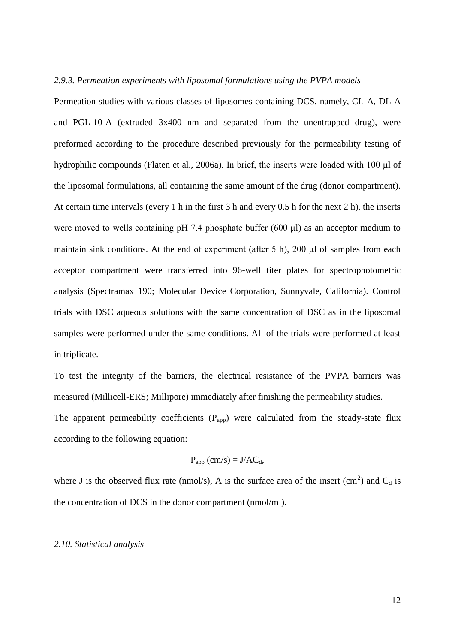## *2.9.3. Permeation experiments with liposomal formulations using the PVPA models*

Permeation studies with various classes of liposomes containing DCS, namely, CL-A, DL-A and PGL-10-A (extruded 3x400 nm and separated from the unentrapped drug), were preformed according to the procedure described previously for the permeability testing of hydrophilic compounds (Flaten et al., 2006a). In brief, the inserts were loaded with 100 μl of the liposomal formulations, all containing the same amount of the drug (donor compartment). At certain time intervals (every 1 h in the first 3 h and every 0.5 h for the next 2 h), the inserts were moved to wells containing pH 7.4 phosphate buffer (600 μl) as an acceptor medium to maintain sink conditions. At the end of experiment (after 5 h), 200 μl of samples from each acceptor compartment were transferred into 96-well titer plates for spectrophotometric analysis (Spectramax 190; Molecular Device Corporation, Sunnyvale, California). Control trials with DSC aqueous solutions with the same concentration of DSC as in the liposomal samples were performed under the same conditions. All of the trials were performed at least in triplicate.

To test the integrity of the barriers, the electrical resistance of the PVPA barriers was measured (Millicell-ERS; Millipore) immediately after finishing the permeability studies.

The apparent permeability coefficients  $(P_{app})$  were calculated from the steady-state flux according to the following equation:

$$
P_{app}(cm/s) = J/AC_d,
$$

where J is the observed flux rate (nmol/s), A is the surface area of the insert (cm<sup>2</sup>) and  $C_d$  is the concentration of DCS in the donor compartment (nmol/ml).

## *2.10. Statistical analysis*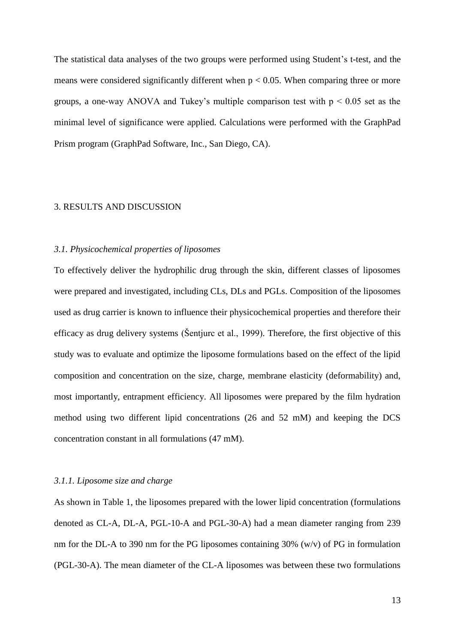The statistical data analyses of the two groups were performed using Student's t-test, and the means were considered significantly different when  $p < 0.05$ . When comparing three or more groups, a one-way ANOVA and Tukey's multiple comparison test with  $p < 0.05$  set as the minimal level of significance were applied. Calculations were performed with the GraphPad Prism program (GraphPad Software, Inc., San Diego, CA).

# 3. RESULTS AND DISCUSSION

## *3.1. Physicochemical properties of liposomes*

To effectively deliver the hydrophilic drug through the skin, different classes of liposomes were prepared and investigated, including CLs, DLs and PGLs. Composition of the liposomes used as drug carrier is known to influence their physicochemical properties and therefore their efficacy as drug delivery systems (Šentjurc et al., 1999). Therefore, the first objective of this study was to evaluate and optimize the liposome formulations based on the effect of the lipid composition and concentration on the size, charge, membrane elasticity (deformability) and, most importantly, entrapment efficiency. All liposomes were prepared by the film hydration method using two different lipid concentrations (26 and 52 mM) and keeping the DCS concentration constant in all formulations (47 mM).

## *3.1.1. Liposome size and charge*

As shown in Table 1, the liposomes prepared with the lower lipid concentration (formulations denoted as CL-A, DL-A, PGL-10-A and PGL-30-A) had a mean diameter ranging from 239 nm for the DL-A to 390 nm for the PG liposomes containing 30% (w/v) of PG in formulation (PGL-30-A). The mean diameter of the CL-A liposomes was between these two formulations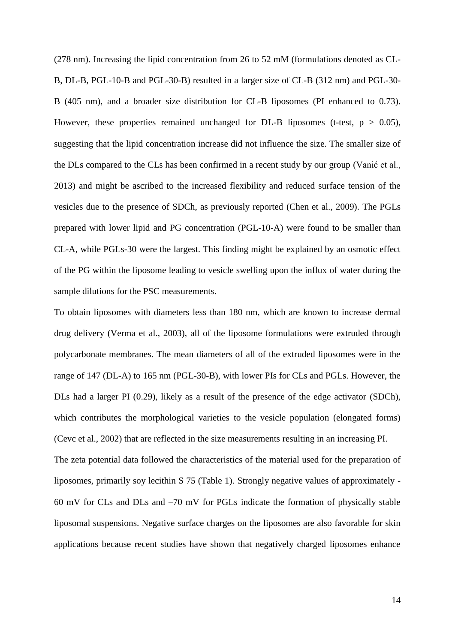(278 nm). Increasing the lipid concentration from 26 to 52 mM (formulations denoted as CL-B, DL-B, PGL-10-B and PGL-30-B) resulted in a larger size of CL-B (312 nm) and PGL-30- B (405 nm), and a broader size distribution for CL-B liposomes (PI enhanced to 0.73). However, these properties remained unchanged for DL-B liposomes (t-test,  $p > 0.05$ ), suggesting that the lipid concentration increase did not influence the size. The smaller size of the DLs compared to the CLs has been confirmed in a recent study by our group (Vanić et al., 2013) and might be ascribed to the increased flexibility and reduced surface tension of the vesicles due to the presence of SDCh, as previously reported (Chen et al., 2009). The PGLs prepared with lower lipid and PG concentration (PGL-10-A) were found to be smaller than CL-A, while PGLs-30 were the largest. This finding might be explained by an osmotic effect of the PG within the liposome leading to vesicle swelling upon the influx of water during the sample dilutions for the PSC measurements.

To obtain liposomes with diameters less than 180 nm, which are known to increase dermal drug delivery (Verma et al., 2003), all of the liposome formulations were extruded through polycarbonate membranes. The mean diameters of all of the extruded liposomes were in the range of 147 (DL-A) to 165 nm (PGL-30-B), with lower PIs for CLs and PGLs. However, the DLs had a larger PI (0.29), likely as a result of the presence of the edge activator (SDCh), which contributes the morphological varieties to the vesicle population (elongated forms) (Cevc et al., 2002) that are reflected in the size measurements resulting in an increasing PI. The zeta potential data followed the characteristics of the material used for the preparation of liposomes, primarily soy lecithin S 75 (Table 1). Strongly negative values of approximately - 60 mV for CLs and DLs and –70 mV for PGLs indicate the formation of physically stable liposomal suspensions. Negative surface charges on the liposomes are also favorable for skin applications because recent studies have shown that negatively charged liposomes enhance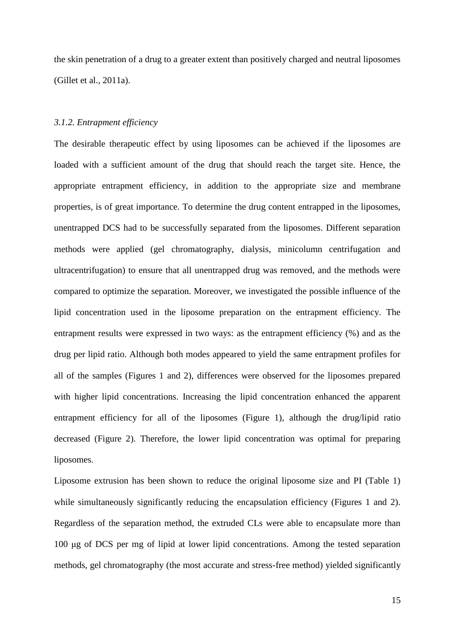the skin penetration of a drug to a greater extent than positively charged and neutral liposomes (Gillet et al., 2011a).

# *3.1.2. Entrapment efficiency*

The desirable therapeutic effect by using liposomes can be achieved if the liposomes are loaded with a sufficient amount of the drug that should reach the target site. Hence, the appropriate entrapment efficiency, in addition to the appropriate size and membrane properties, is of great importance. To determine the drug content entrapped in the liposomes, unentrapped DCS had to be successfully separated from the liposomes. Different separation methods were applied (gel chromatography, dialysis, minicolumn centrifugation and ultracentrifugation) to ensure that all unentrapped drug was removed, and the methods were compared to optimize the separation. Moreover, we investigated the possible influence of the lipid concentration used in the liposome preparation on the entrapment efficiency. The entrapment results were expressed in two ways: as the entrapment efficiency (%) and as the drug per lipid ratio. Although both modes appeared to yield the same entrapment profiles for all of the samples (Figures 1 and 2), differences were observed for the liposomes prepared with higher lipid concentrations. Increasing the lipid concentration enhanced the apparent entrapment efficiency for all of the liposomes (Figure 1), although the drug/lipid ratio decreased (Figure 2). Therefore, the lower lipid concentration was optimal for preparing liposomes.

Liposome extrusion has been shown to reduce the original liposome size and PI (Table 1) while simultaneously significantly reducing the encapsulation efficiency (Figures 1 and 2). Regardless of the separation method, the extruded CLs were able to encapsulate more than 100 μg of DCS per mg of lipid at lower lipid concentrations. Among the tested separation methods, gel chromatography (the most accurate and stress-free method) yielded significantly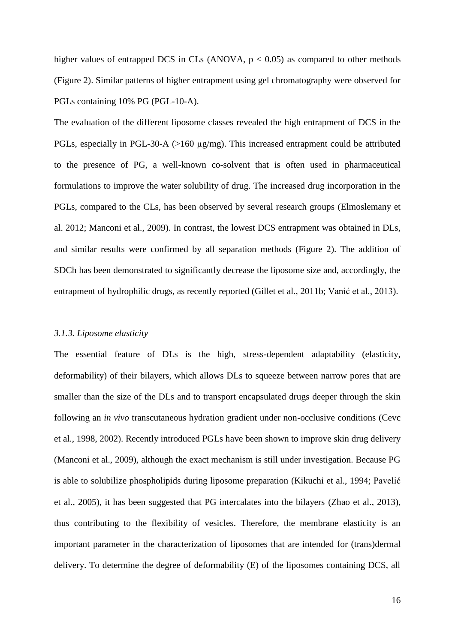higher values of entrapped DCS in CLs (ANOVA,  $p < 0.05$ ) as compared to other methods (Figure 2). Similar patterns of higher entrapment using gel chromatography were observed for PGLs containing 10% PG (PGL-10-A).

The evaluation of the different liposome classes revealed the high entrapment of DCS in the PGLs, especially in PGL-30-A (>160 µg/mg). This increased entrapment could be attributed to the presence of PG, a well-known co-solvent that is often used in pharmaceutical formulations to improve the water solubility of drug. The increased drug incorporation in the PGLs, compared to the CLs, has been observed by several research groups (Elmoslemany et al. 2012; Manconi et al., 2009). In contrast, the lowest DCS entrapment was obtained in DLs, and similar results were confirmed by all separation methods (Figure 2). The addition of SDCh has been demonstrated to significantly decrease the liposome size and, accordingly, the entrapment of hydrophilic drugs, as recently reported (Gillet et al., 2011b; Vanić et al., 2013).

## *3.1.3. Liposome elasticity*

The essential feature of DLs is the high, stress-dependent adaptability (elasticity, deformability) of their bilayers, which allows DLs to squeeze between narrow pores that are smaller than the size of the DLs and to transport encapsulated drugs deeper through the skin following an *in vivo* transcutaneous hydration gradient under non-occlusive conditions (Cevc et al., 1998, 2002). Recently introduced PGLs have been shown to improve skin drug delivery (Manconi et al., 2009), although the exact mechanism is still under investigation. Because PG is able to solubilize phospholipids during liposome preparation (Kikuchi et al., 1994; Pavelić et al., 2005), it has been suggested that PG intercalates into the bilayers (Zhao et al., 2013), thus contributing to the flexibility of vesicles. Therefore, the membrane elasticity is an important parameter in the characterization of liposomes that are intended for (trans)dermal delivery. To determine the degree of deformability (E) of the liposomes containing DCS, all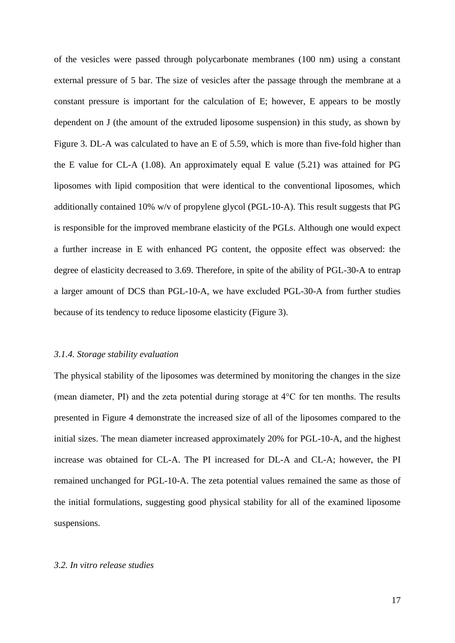of the vesicles were passed through polycarbonate membranes (100 nm) using a constant external pressure of 5 bar. The size of vesicles after the passage through the membrane at a constant pressure is important for the calculation of E; however, E appears to be mostly dependent on J (the amount of the extruded liposome suspension) in this study, as shown by Figure 3. DL-A was calculated to have an E of 5.59, which is more than five-fold higher than the E value for CL-A (1.08). An approximately equal E value (5.21) was attained for PG liposomes with lipid composition that were identical to the conventional liposomes, which additionally contained 10% w/v of propylene glycol (PGL-10-A). This result suggests that PG is responsible for the improved membrane elasticity of the PGLs. Although one would expect a further increase in E with enhanced PG content, the opposite effect was observed: the degree of elasticity decreased to 3.69. Therefore, in spite of the ability of PGL-30-A to entrap a larger amount of DCS than PGL-10-A, we have excluded PGL-30-A from further studies because of its tendency to reduce liposome elasticity (Figure 3).

#### *3.1.4. Storage stability evaluation*

The physical stability of the liposomes was determined by monitoring the changes in the size (mean diameter, PI) and the zeta potential during storage at 4°C for ten months. The results presented in Figure 4 demonstrate the increased size of all of the liposomes compared to the initial sizes. The mean diameter increased approximately 20% for PGL-10-A, and the highest increase was obtained for CL-A. The PI increased for DL-A and CL-A; however, the PI remained unchanged for PGL-10-A. The zeta potential values remained the same as those of the initial formulations, suggesting good physical stability for all of the examined liposome suspensions.

#### *3.2. In vitro release studies*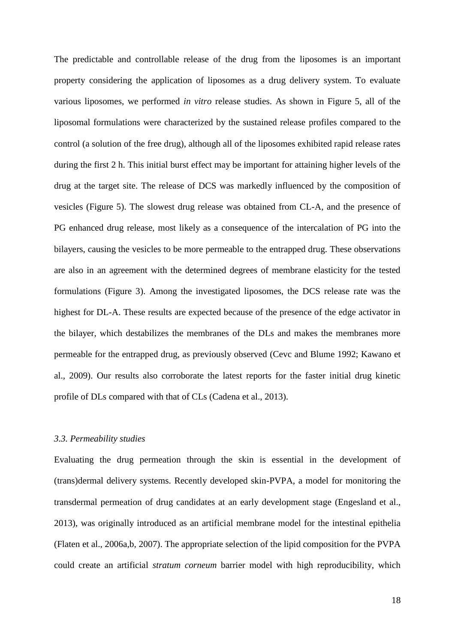The predictable and controllable release of the drug from the liposomes is an important property considering the application of liposomes as a drug delivery system. To evaluate various liposomes, we performed *in vitro* release studies. As shown in Figure 5, all of the liposomal formulations were characterized by the sustained release profiles compared to the control (a solution of the free drug), although all of the liposomes exhibited rapid release rates during the first 2 h. This initial burst effect may be important for attaining higher levels of the drug at the target site. The release of DCS was markedly influenced by the composition of vesicles (Figure 5). The slowest drug release was obtained from CL-A, and the presence of PG enhanced drug release, most likely as a consequence of the intercalation of PG into the bilayers, causing the vesicles to be more permeable to the entrapped drug. These observations are also in an agreement with the determined degrees of membrane elasticity for the tested formulations (Figure 3). Among the investigated liposomes, the DCS release rate was the highest for DL-A. These results are expected because of the presence of the edge activator in the bilayer, which destabilizes the membranes of the DLs and makes the membranes more permeable for the entrapped drug, as previously observed (Cevc and Blume 1992; Kawano et al., 2009). Our results also corroborate the latest reports for the faster initial drug kinetic profile of DLs compared with that of CLs (Cadena et al., 2013).

#### *3.3. Permeability studies*

Evaluating the drug permeation through the skin is essential in the development of (trans)dermal delivery systems. Recently developed skin-PVPA, a model for monitoring the transdermal permeation of drug candidates at an early development stage (Engesland et al., 2013), was originally introduced as an artificial membrane model for the intestinal epithelia (Flaten et al., 2006a,b, 2007). The appropriate selection of the lipid composition for the PVPA could create an artificial *stratum corneum* barrier model with high reproducibility, which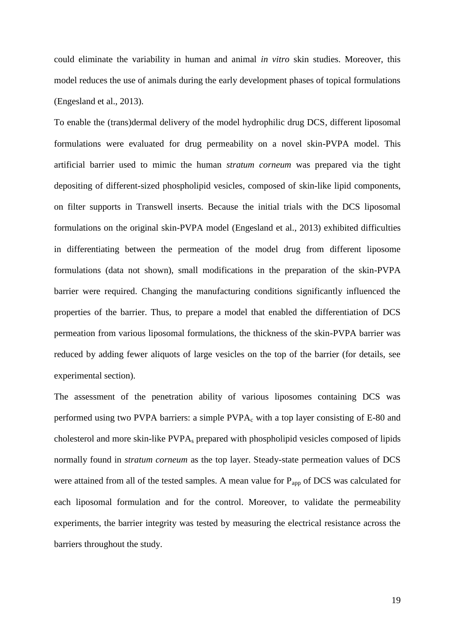could eliminate the variability in human and animal *in vitro* skin studies. Moreover, this model reduces the use of animals during the early development phases of topical formulations (Engesland et al., 2013).

To enable the (trans)dermal delivery of the model hydrophilic drug DCS, different liposomal formulations were evaluated for drug permeability on a novel skin-PVPA model. This artificial barrier used to mimic the human *stratum corneum* was prepared via the tight depositing of different-sized phospholipid vesicles, composed of skin-like lipid components, on filter supports in Transwell inserts. Because the initial trials with the DCS liposomal formulations on the original skin-PVPA model (Engesland et al., 2013) exhibited difficulties in differentiating between the permeation of the model drug from different liposome formulations (data not shown), small modifications in the preparation of the skin-PVPA barrier were required. Changing the manufacturing conditions significantly influenced the properties of the barrier. Thus, to prepare a model that enabled the differentiation of DCS permeation from various liposomal formulations, the thickness of the skin-PVPA barrier was reduced by adding fewer aliquots of large vesicles on the top of the barrier (for details, see experimental section).

The assessment of the penetration ability of various liposomes containing DCS was performed using two PVPA barriers: a simple  $PVPA<sub>c</sub>$  with a top layer consisting of E-80 and cholesterol and more skin-like PVPA<sup>s</sup> prepared with phospholipid vesicles composed of lipids normally found in *stratum corneum* as the top layer. Steady-state permeation values of DCS were attained from all of the tested samples. A mean value for  $P_{app}$  of DCS was calculated for each liposomal formulation and for the control. Moreover, to validate the permeability experiments, the barrier integrity was tested by measuring the electrical resistance across the barriers throughout the study.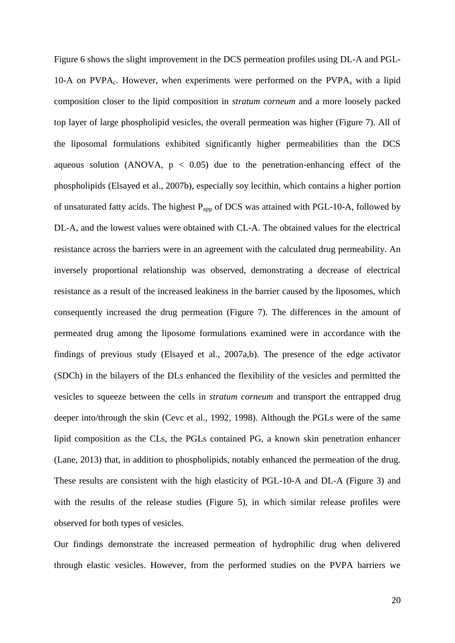Figure 6 shows the slight improvement in the DCS permeation profiles using DL-A and PGL-10-A on PVPA<sub>c</sub>. However, when experiments were performed on the PVPA<sub>s</sub> with a lipid composition closer to the lipid composition in *stratum corneum* and a more loosely packed top layer of large phospholipid vesicles, the overall permeation was higher (Figure 7). All of the liposomal formulations exhibited significantly higher permeabilities than the DCS aqueous solution (ANOVA,  $p < 0.05$ ) due to the penetration-enhancing effect of the phospholipids (Elsayed et al., 2007b), especially soy lecithin, which contains a higher portion of unsaturated fatty acids. The highest  $P_{app}$  of DCS was attained with PGL-10-A, followed by DL-A, and the lowest values were obtained with CL-A. The obtained values for the electrical resistance across the barriers were in an agreement with the calculated drug permeability. An inversely proportional relationship was observed, demonstrating a decrease of electrical resistance as a result of the increased leakiness in the barrier caused by the liposomes, which consequently increased the drug permeation (Figure 7). The differences in the amount of permeated drug among the liposome formulations examined were in accordance with the findings of previous study (Elsayed et al., 2007a,b). The presence of the edge activator (SDCh) in the bilayers of the DLs enhanced the flexibility of the vesicles and permitted the vesicles to squeeze between the cells in *stratum corneum* and transport the entrapped drug deeper into/through the skin (Cevc et al., 1992, 1998). Although the PGLs were of the same lipid composition as the CLs, the PGLs contained PG, a known skin penetration enhancer (Lane, 2013) that, in addition to phospholipids, notably enhanced the permeation of the drug. These results are consistent with the high elasticity of PGL-10-A and DL-A (Figure 3) and with the results of the release studies (Figure 5), in which similar release profiles were observed for both types of vesicles.

Our findings demonstrate the increased permeation of hydrophilic drug when delivered through elastic vesicles. However, from the performed studies on the PVPA barriers we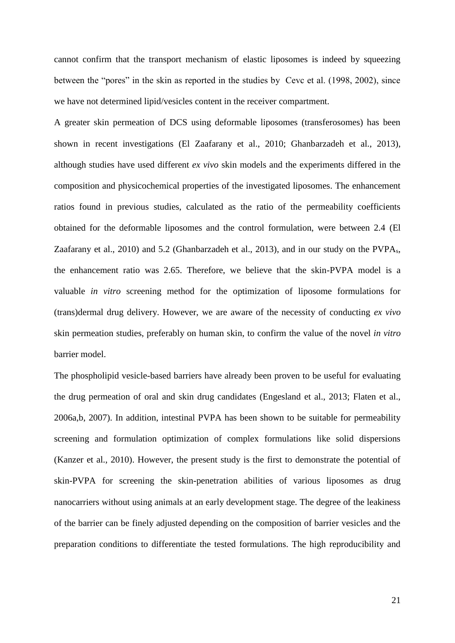cannot confirm that the transport mechanism of elastic liposomes is indeed by squeezing between the "pores" in the skin as reported in the studies by Cevc et al. (1998, 2002), since we have not determined lipid/vesicles content in the receiver compartment.

A greater skin permeation of DCS using deformable liposomes (transferosomes) has been shown in recent investigations (El Zaafarany et al., 2010; Ghanbarzadeh et al., 2013), although studies have used different *ex vivo* skin models and the experiments differed in the composition and physicochemical properties of the investigated liposomes. The enhancement ratios found in previous studies, calculated as the ratio of the permeability coefficients obtained for the deformable liposomes and the control formulation, were between 2.4 (El Zaafarany et al., 2010) and 5.2 (Ghanbarzadeh et al., 2013), and in our study on the PVPAs, the enhancement ratio was 2.65. Therefore, we believe that the skin-PVPA model is a valuable *in vitro* screening method for the optimization of liposome formulations for (trans)dermal drug delivery. However, we are aware of the necessity of conducting *ex vivo* skin permeation studies, preferably on human skin, to confirm the value of the novel *in vitro* barrier model.

The phospholipid vesicle-based barriers have already been proven to be useful for evaluating the drug permeation of oral and skin drug candidates (Engesland et al., 2013; Flaten et al., 2006a,b, 2007). In addition, intestinal PVPA has been shown to be suitable for permeability screening and formulation optimization of complex formulations like solid dispersions (Kanzer et al., 2010). However, the present study is the first to demonstrate the potential of skin-PVPA for screening the skin-penetration abilities of various liposomes as drug nanocarriers without using animals at an early development stage. The degree of the leakiness of the barrier can be finely adjusted depending on the composition of barrier vesicles and the preparation conditions to differentiate the tested formulations. The high reproducibility and

21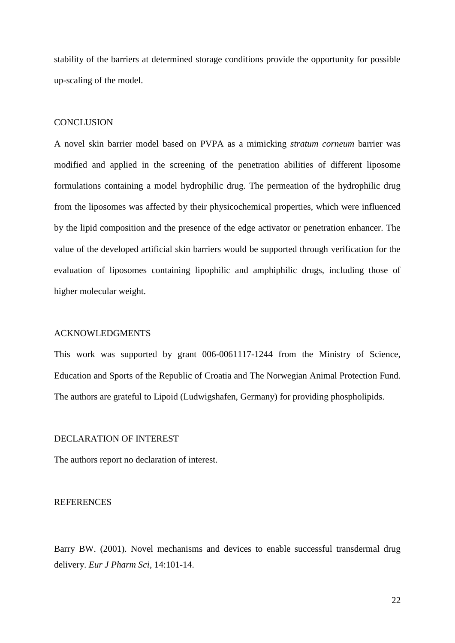stability of the barriers at determined storage conditions provide the opportunity for possible up-scaling of the model.

# **CONCLUSION**

A novel skin barrier model based on PVPA as a mimicking *stratum corneum* barrier was modified and applied in the screening of the penetration abilities of different liposome formulations containing a model hydrophilic drug. The permeation of the hydrophilic drug from the liposomes was affected by their physicochemical properties, which were influenced by the lipid composition and the presence of the edge activator or penetration enhancer. The value of the developed artificial skin barriers would be supported through verification for the evaluation of liposomes containing lipophilic and amphiphilic drugs, including those of higher molecular weight.

# ACKNOWLEDGMENTS

This work was supported by grant 006-0061117-1244 from the Ministry of Science, Education and Sports of the Republic of Croatia and The Norwegian Animal Protection Fund. The authors are grateful to Lipoid (Ludwigshafen, Germany) for providing phospholipids.

# DECLARATION OF INTEREST

The authors report no declaration of interest.

#### **REFERENCES**

Barry BW. (2001). Novel mechanisms and devices to enable successful transdermal drug delivery. *Eur J Pharm Sci*, 14:101-14.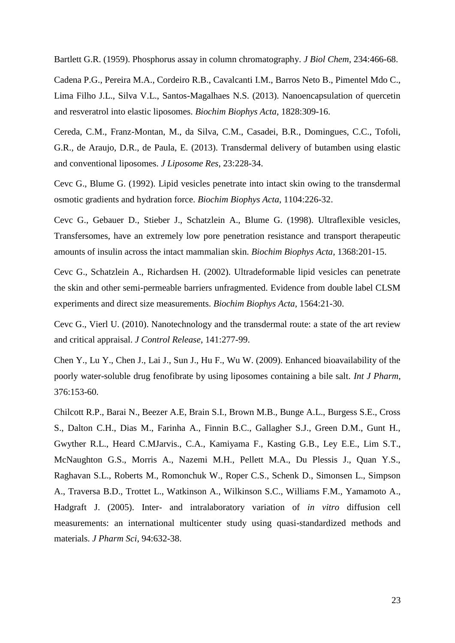Bartlett G.R. (1959). Phosphorus assay in column chromatography. *J Biol Chem*, 234:466-68.

Cadena P.G., Pereira M.A., Cordeiro R.B., Cavalcanti I.M., Barros Neto B., Pimentel Mdo C., Lima Filho J.L., Silva V.L., Santos-Magalhaes N.S. (2013). Nanoencapsulation of quercetin and resveratrol into elastic liposomes. *Biochim Biophys Acta*, 1828:309-16.

Cereda, C.M., Franz-Montan, M., da Silva, C.M., Casadei, B.R., Domingues, C.C., Tofoli, G.R., de Araujo, D.R., de Paula, E. (2013). Transdermal delivery of butamben using elastic and conventional liposomes. *J Liposome Res*, 23:228-34.

Cevc G., Blume G. (1992). Lipid vesicles penetrate into intact skin owing to the transdermal osmotic gradients and hydration force. *Biochim Biophys Acta*, 1104:226-32.

Cevc G., Gebauer D., Stieber J., Schatzlein A., Blume G. (1998). Ultraflexible vesicles, Transfersomes, have an extremely low pore penetration resistance and transport therapeutic amounts of insulin across the intact mammalian skin. *Biochim Biophys Acta*, 1368:201-15.

Cevc G., Schatzlein A., Richardsen H. (2002). Ultradeformable lipid vesicles can penetrate the skin and other semi-permeable barriers unfragmented. Evidence from double label CLSM experiments and direct size measurements. *Biochim Biophys Acta*, 1564:21-30.

Cevc G., Vierl U. (2010). Nanotechnology and the transdermal route: a state of the art review and critical appraisal. *J Control Release*, 141:277-99.

Chen Y., Lu Y., Chen J., Lai J., Sun J., Hu F., Wu W. (2009). Enhanced bioavailability of the poorly water-soluble drug fenofibrate by using liposomes containing a bile salt. *Int J Pharm*, 376:153-60.

Chilcott R.P., Barai N., Beezer A.E, Brain S.I., Brown M.B., Bunge A.L., Burgess S.E., Cross S., Dalton C.H., Dias M., Farinha A., Finnin B.C., Gallagher S.J., Green D.M., Gunt H., Gwyther R.L., Heard C.MJarvis., C.A., Kamiyama F., Kasting G.B., Ley E.E., Lim S.T., McNaughton G.S., Morris A., Nazemi M.H., Pellett M.A., Du Plessis J., Quan Y.S., Raghavan S.L., Roberts M., Romonchuk W., Roper C.S., Schenk D., Simonsen L., Simpson A., Traversa B.D., Trottet L., Watkinson A., Wilkinson S.C., Williams F.M., Yamamoto A., Hadgraft J. (2005). Inter- and intralaboratory variation of *in vitro* diffusion cell measurements: an international multicenter study using quasi-standardized methods and materials. *J Pharm Sci*, 94:632-38.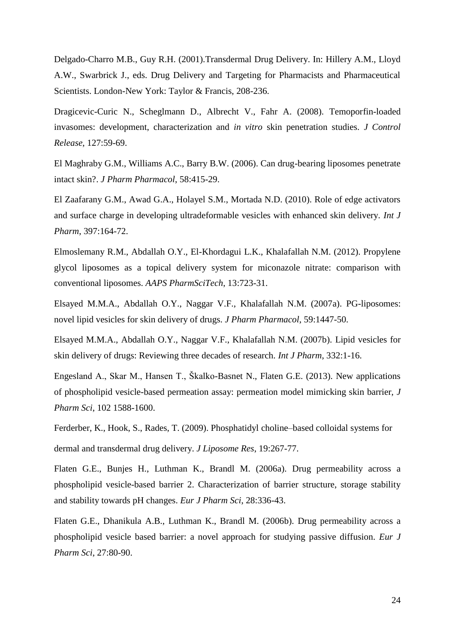Delgado-Charro M.B., Guy R.H. (2001).Transdermal Drug Delivery. In: Hillery A.M., Lloyd A.W., Swarbrick J., eds. Drug Delivery and Targeting for Pharmacists and Pharmaceutical Scientists. London-New York: Taylor & Francis, 208-236.

Dragicevic-Curic N., Scheglmann D., Albrecht V., Fahr A. (2008). Temoporfin-loaded invasomes: development, characterization and *in vitro* skin penetration studies. *J Control Release*, 127:59-69.

El Maghraby G.M., Williams A.C., Barry B.W. (2006). Can drug-bearing liposomes penetrate intact skin?. *J Pharm Pharmacol*, 58:415-29.

El Zaafarany G.M., Awad G.A., Holayel S.M., Mortada N.D. (2010). Role of edge activators and surface charge in developing ultradeformable vesicles with enhanced skin delivery. *Int J Pharm*, 397:164-72.

Elmoslemany R.M., Abdallah O.Y., El-Khordagui L.K., Khalafallah N.M. (2012). Propylene glycol liposomes as a topical delivery system for miconazole nitrate: comparison with conventional liposomes. *AAPS PharmSciTech*, 13:723-31.

Elsayed M.M.A., Abdallah O.Y., Naggar V.F., Khalafallah N.M. (2007a). PG-liposomes: novel lipid vesicles for skin delivery of drugs. *J Pharm Pharmacol*, 59:1447-50.

Elsayed M.M.A., Abdallah O.Y., Naggar V.F., Khalafallah N.M. (2007b). Lipid vesicles for skin delivery of drugs: Reviewing three decades of research. *Int J Pharm*, 332:1-16.

Engesland A., Skar M., Hansen T., Škalko-Basnet N., Flaten G.E. (2013). New applications of phospholipid vesicle-based permeation assay: permeation model mimicking skin barrier, *J Pharm Sci*, 102 1588-1600.

Ferderber, K., Hook, S., Rades, T. (2009). Phosphatidyl choline–based colloidal systems for dermal and transdermal drug delivery. *J Liposome Res*, 19:267-77.

Flaten G.E., Bunjes H., Luthman K., Brandl M. (2006a). Drug permeability across a phospholipid vesicle-based barrier 2. Characterization of barrier structure, storage stability and stability towards pH changes. *Eur J Pharm Sci*, 28:336-43.

Flaten G.E., Dhanikula A.B., Luthman K., Brandl M. (2006b). Drug permeability across a phospholipid vesicle based barrier: a novel approach for studying passive diffusion. *Eur J Pharm Sci*, 27:80-90.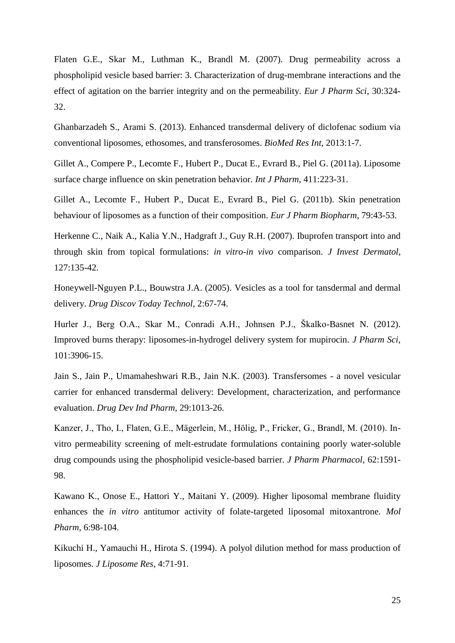Flaten G.E., Skar M., Luthman K., Brandl M. (2007). Drug permeability across a phospholipid vesicle based barrier: 3. Characterization of drug-membrane interactions and the effect of agitation on the barrier integrity and on the permeability. *Eur J Pharm Sci*, 30:324- 32.

Ghanbarzadeh S., Arami S. (2013). Enhanced transdermal delivery of diclofenac sodium via conventional liposomes, ethosomes, and transferosomes. *BioMed Res Int*, 2013:1-7.

Gillet A., Compere P., Lecomte F., Hubert P., Ducat E., Evrard B., Piel G. (2011a). Liposome surface charge influence on skin penetration behavior. *Int J Pharm*, 411:223-31.

Gillet A., Lecomte F., Hubert P., Ducat E., Evrard B., Piel G. (2011b). Skin penetration behaviour of liposomes as a function of their composition. *Eur J Pharm Biopharm*, 79:43-53.

Herkenne C., Naik A., Kalia Y.N., Hadgraft J., Guy R.H. (2007). Ibuprofen transport into and through skin from topical formulations: *in vitro*-*in vivo* comparison. *J Invest Dermatol*, 127:135-42.

Honeywell-Nguyen P.L., Bouwstra J.A. (2005). Vesicles as a tool for tansdermal and dermal delivery. *Drug Discov Today Technol*, 2:67-74.

Hurler J., Berg O.A., Skar M., Conradi A.H., Johnsen P.J., Škalko-Basnet N. (2012). Improved burns therapy: liposomes-in-hydrogel delivery system for mupirocin. *J Pharm Sci*, 101:3906-15.

Jain S., Jain P., Umamaheshwari R.B., Jain N.K. (2003). Transfersomes - a novel vesicular carrier for enhanced transdermal delivery: Development, characterization, and performance evaluation. *Drug Dev Ind Pharm*, 29:1013-26.

Kanzer, J., Tho, I., Flaten, G.E., Mägerlein, M., Hölig, P., Fricker, G., Brandl, M. (2010). Invitro permeability screening of melt-estrudate formulations containing poorly water-soluble drug compounds using the phospholipid vesicle-based barrier. *J Pharm Pharmacol*, 62:1591- 98.

Kawano K., Onose E., Hattori Y., Maitani Y. (2009). Higher liposomal membrane fluidity enhances the *in vitro* antitumor activity of folate-targeted liposomal mitoxantrone. *Mol Pharm*, 6:98-104.

Kikuchi H., Yamauchi H., Hirota S. (1994). A polyol dilution method for mass production of liposomes. *J Liposome Res*, 4:71-91.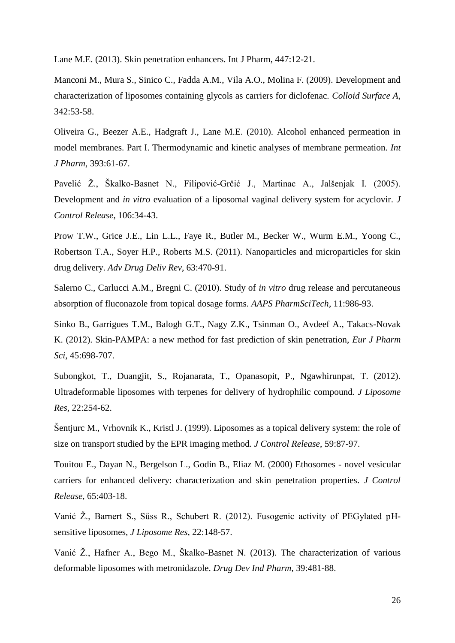Lane M.E. (2013). Skin penetration enhancers. Int J Pharm, 447:12-21.

Manconi M., Mura S., Sinico C., Fadda A.M., Vila A.O., Molina F. (2009). Development and characterization of liposomes containing glycols as carriers for diclofenac. *Colloid Surface A*, 342:53-58.

Oliveira G., Beezer A.E., Hadgraft J., Lane M.E. (2010). Alcohol enhanced permeation in model membranes. Part I. Thermodynamic and kinetic analyses of membrane permeation. *Int J Pharm*, 393:61-67.

Pavelić Ž., Škalko-Basnet N., Filipović-Grčić J., Martinac A., Jalšenjak I. (2005). Development and *in vitro* evaluation of a liposomal vaginal delivery system for acyclovir. *J Control Release*, 106:34-43.

Prow T.W., Grice J.E., Lin L.L., Faye R., Butler M., Becker W., Wurm E.M., Yoong C., Robertson T.A., Soyer H.P., Roberts M.S. (2011). Nanoparticles and microparticles for skin drug delivery. *Adv Drug Deliv Rev*, 63:470-91.

Salerno C., Carlucci A.M., Bregni C. (2010). Study of *in vitro* drug release and percutaneous absorption of fluconazole from topical dosage forms. *AAPS PharmSciTech*, 11:986-93.

Sinko B., Garrigues T.M., Balogh G.T., Nagy Z.K., Tsinman O., Avdeef A., Takacs-Novak K. (2012). Skin-PAMPA: a new method for fast prediction of skin penetration, *Eur J Pharm Sci*, 45:698-707.

Subongkot, T., Duangjit, S., Rojanarata, T., Opanasopit, P., Ngawhirunpat, T. (2012). Ultradeformable liposomes with terpenes for delivery of hydrophilic compound. *J Liposome Res*, 22:254-62.

Šentjurc M., Vrhovnik K., Kristl J. (1999). Liposomes as a topical delivery system: the role of size on transport studied by the EPR imaging method. *J Control Release*, 59:87-97.

Touitou E., Dayan N., Bergelson L., Godin B., Eliaz M. (2000) Ethosomes - novel vesicular carriers for enhanced delivery: characterization and skin penetration properties. *J Control Release*, 65:403-18.

Vanić Ž., Barnert S., Sűss R., Schubert R. (2012). Fusogenic activity of PEGylated pHsensitive liposomes, *J Liposome Res*, 22:148-57.

Vanić Ž., Hafner A., Bego M., Škalko-Basnet N. (2013). The characterization of various deformable liposomes with metronidazole. *Drug Dev Ind Pharm*, 39:481-88.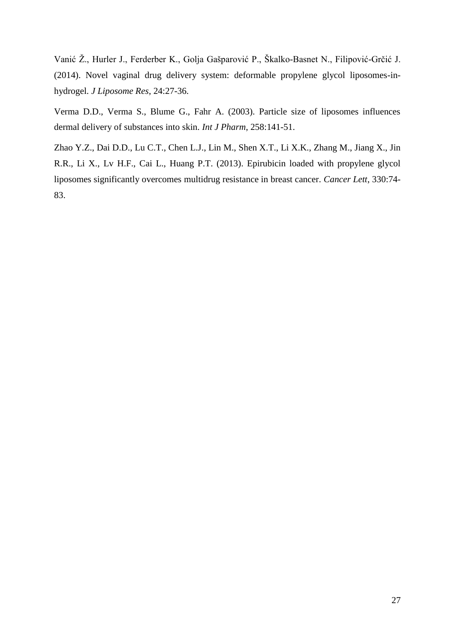Vanić Ž., Hurler J., Ferderber K., Golja Gašparović P., Škalko-Basnet N., Filipović-Grčić J. (2014). Novel vaginal drug delivery system: deformable propylene glycol liposomes-inhydrogel. *J Liposome Res*, 24:27-36.

Verma D.D., Verma S., Blume G., Fahr A. (2003). Particle size of liposomes influences dermal delivery of substances into skin. *Int J Pharm*, 258:141-51.

Zhao Y.Z., Dai D.D., Lu C.T., Chen L.J., Lin M., Shen X.T., Li X.K., Zhang M., Jiang X., Jin R.R., Li X., Lv H.F., Cai L., Huang P.T. (2013). Epirubicin loaded with propylene glycol liposomes significantly overcomes multidrug resistance in breast cancer. *Cancer Lett*, 330:74- 83.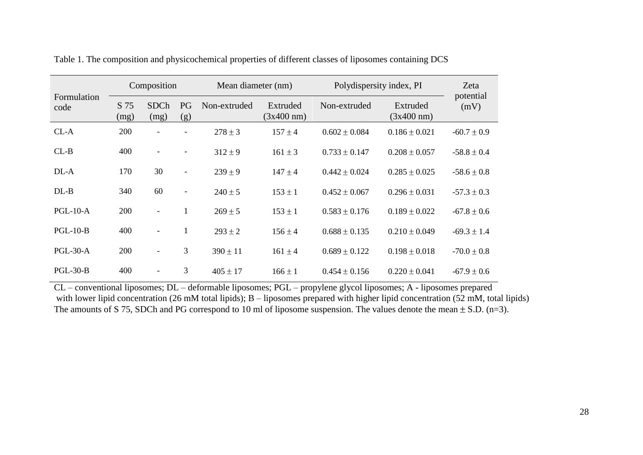| Formulation<br>code | Composition  |                          |                          | Mean diameter (nm) |                                  | Polydispersity index, PI |                                  | Zeta              |
|---------------------|--------------|--------------------------|--------------------------|--------------------|----------------------------------|--------------------------|----------------------------------|-------------------|
|                     | S 75<br>(mg) | <b>SDCh</b><br>(mg)      | PG<br>(g)                | Non-extruded       | Extruded<br>$(3x400 \text{ nm})$ | Non-extruded             | Extruded<br>$(3x400 \text{ nm})$ | potential<br>(mV) |
| $CL-A$              | 200          |                          | $\overline{\phantom{a}}$ | $278 \pm 3$        | $157 \pm 4$                      | $0.602 \pm 0.084$        | $0.186 \pm 0.021$                | $-60.7 \pm 0.9$   |
| $CL-B$              | 400          | $\overline{\phantom{a}}$ | $\overline{\phantom{a}}$ | $312 \pm 9$        | $161 \pm 3$                      | $0.733 \pm 0.147$        | $0.208 \pm 0.057$                | $-58.8 \pm 0.4$   |
| DL-A                | 170          | 30                       | $\overline{\phantom{a}}$ | $239 \pm 9$        | $147 \pm 4$                      | $0.442 \pm 0.024$        | $0.285 \pm 0.025$                | $-58.6 \pm 0.8$   |
| $DL-B$              | 340          | 60                       | $\overline{\phantom{a}}$ | $240 \pm 5$        | $153 \pm 1$                      | $0.452 \pm 0.067$        | $0.296 \pm 0.031$                | $-57.3 \pm 0.3$   |
| $PGL-10-A$          | 200          | $\blacksquare$           | 1                        | $269 \pm 5$        | $153 \pm 1$                      | $0.583 \pm 0.176$        | $0.189 \pm 0.022$                | $-67.8 \pm 0.6$   |
| $PGL-10-B$          | 400          | $\blacksquare$           | 1                        | $293 \pm 2$        | $156 \pm 4$                      | $0.688 \pm 0.135$        | $0.210 \pm 0.049$                | $-69.3 \pm 1.4$   |
| $PGL-30-A$          | 200          | $\overline{\phantom{a}}$ | 3                        | $390 \pm 11$       | $161 \pm 4$                      | $0.689 \pm 0.122$        | $0.198 \pm 0.018$                | $-70.0 \pm 0.8$   |
| $PGL-30-B$          | 400          |                          | 3                        | $405 \pm 17$       | $166 \pm 1$                      | $0.454 \pm 0.156$        | $0.220 \pm 0.041$                | $-67.9 \pm 0.6$   |

|  |  |  | Table 1. The composition and physicochemical properties of different classes of liposomes containing DCS |  |  |
|--|--|--|----------------------------------------------------------------------------------------------------------|--|--|
|--|--|--|----------------------------------------------------------------------------------------------------------|--|--|

CL – conventional liposomes; DL – deformable liposomes; PGL – propylene glycol liposomes; A - liposomes prepared with lower lipid concentration (26 mM total lipids); B – liposomes prepared with higher lipid concentration (52 mM, total lipids) The amounts of S 75, SDCh and PG correspond to 10 ml of liposome suspension. The values denote the mean  $\pm$  S.D. (n=3).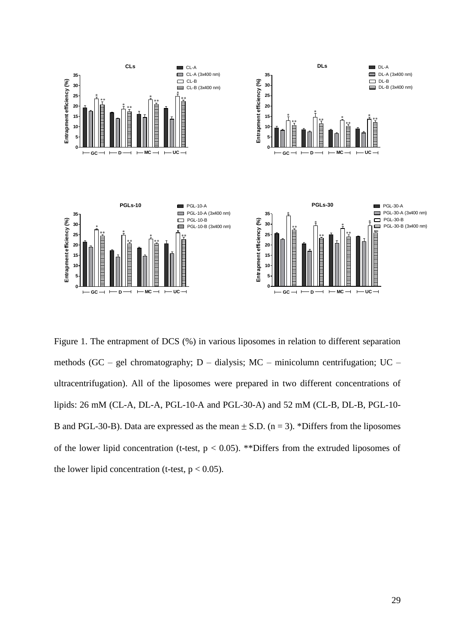

Figure 1. The entrapment of DCS (%) in various liposomes in relation to different separation methods (GC – gel chromatography; D – dialysis; MC – minicolumn centrifugation; UC – ultracentrifugation). All of the liposomes were prepared in two different concentrations of lipids: 26 mM (CL-A, DL-A, PGL-10-A and PGL-30-A) and 52 mM (CL-B, DL-B, PGL-10- B and PGL-30-B). Data are expressed as the mean  $\pm$  S.D. (n = 3). \*Differs from the liposomes of the lower lipid concentration (t-test,  $p < 0.05$ ). \*\*Differs from the extruded liposomes of the lower lipid concentration (t-test,  $p < 0.05$ ).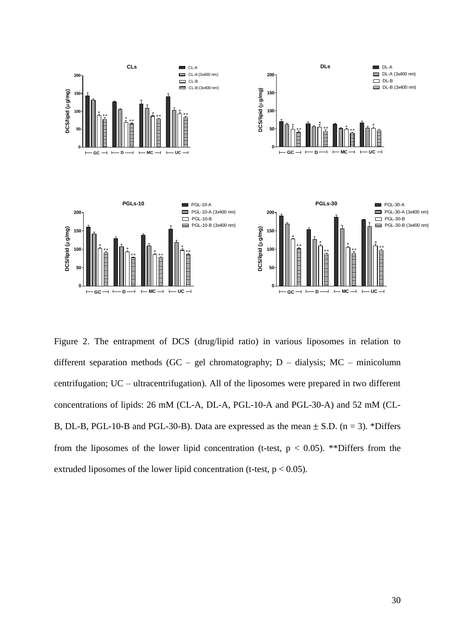

Figure 2. The entrapment of DCS (drug/lipid ratio) in various liposomes in relation to different separation methods (GC – gel chromatography;  $D -$  dialysis; MC – minicolumn centrifugation; UC – ultracentrifugation). All of the liposomes were prepared in two different concentrations of lipids: 26 mM (CL-A, DL-A, PGL-10-A and PGL-30-A) and 52 mM (CL-B, DL-B, PGL-10-B and PGL-30-B). Data are expressed as the mean  $\pm$  S.D. (n = 3). \*Differs from the liposomes of the lower lipid concentration (t-test,  $p < 0.05$ ). \*\*Differs from the extruded liposomes of the lower lipid concentration (t-test,  $p < 0.05$ ).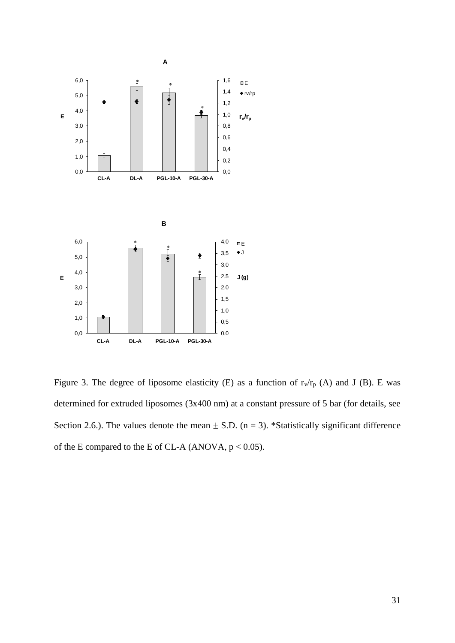

Figure 3. The degree of liposome elasticity (E) as a function of  $r_v/r_p$  (A) and J (B). E was determined for extruded liposomes (3x400 nm) at a constant pressure of 5 bar (for details, see Section 2.6.). The values denote the mean  $\pm$  S.D. (n = 3). \*Statistically significant difference of the E compared to the E of CL-A (ANOVA,  $p < 0.05$ ).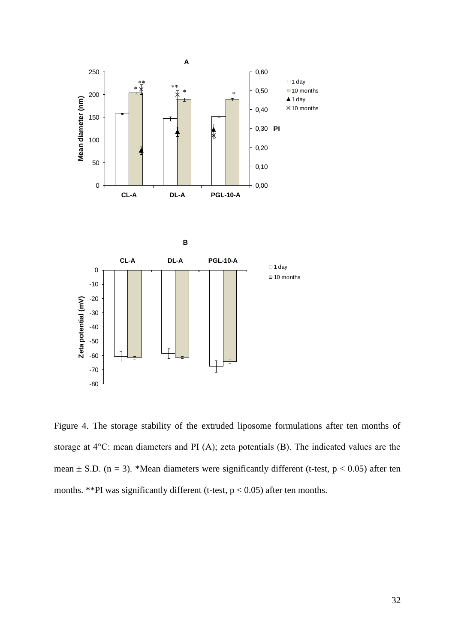

Figure 4. The storage stability of the extruded liposome formulations after ten months of storage at 4°C: mean diameters and PI (A); zeta potentials (B). The indicated values are the mean  $\pm$  S.D. (n = 3). \*Mean diameters were significantly different (t-test, p < 0.05) after ten months. \*\*PI was significantly different (t-test,  $p < 0.05$ ) after ten months.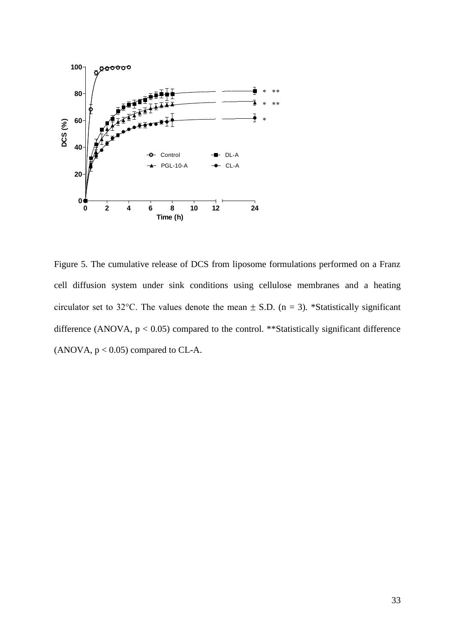

Figure 5. The cumulative release of DCS from liposome formulations performed on a Franz cell diffusion system under sink conditions using cellulose membranes and a heating circulator set to 32°C. The values denote the mean  $\pm$  S.D. (n = 3). \*Statistically significant difference (ANOVA,  $p < 0.05$ ) compared to the control. \*\*Statistically significant difference (ANOVA,  $p < 0.05$ ) compared to CL-A.